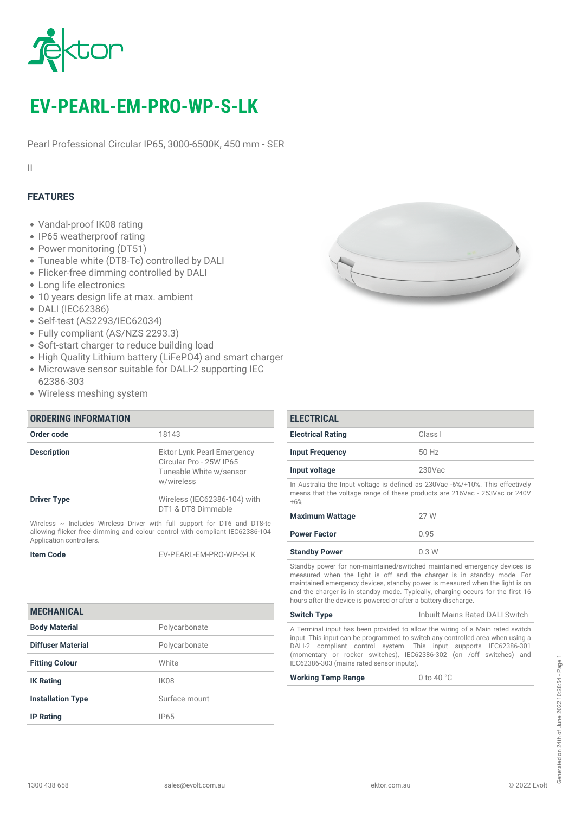

# *EV-PEARL-EM-PRO-WP-S-LK*

*Pearl Professional Circular IP65, 3000-6500K, 450 mm - SER*

*II*

### *FEATURES*

- *Vandal-proof IK08 rating*
- *IP65 weatherproof rating*
- *Power monitoring (DT51)*
- *Tuneable white (DT8-Tc) controlled by DALI*
- *Flicker-free dimming controlled by DALI*
- *Long life electronics*
- *10 years design life at max. ambient*
- *DALI (IEC62386)*
- *Self-test (AS2293/IEC62034)*
- *Fully compliant (AS/NZS 2293.3)*
- *Soft-start charger to reduce building load*
- *High Quality Lithium battery (LiFePO4) and smart charger*
- *Microwave sensor suitable for DALI-2 supporting IEC 62386-303*
- *Wireless meshing system*

| <b>ORDERING INFORMATION</b>                                                                                                                                   |                                                                                                |  |
|---------------------------------------------------------------------------------------------------------------------------------------------------------------|------------------------------------------------------------------------------------------------|--|
| Order code                                                                                                                                                    | 18143                                                                                          |  |
| <b>Description</b>                                                                                                                                            | Ektor Lynk Pearl Emergency<br>Circular Pro - 25W IP65<br>Tuneable White w/sensor<br>w/wireless |  |
| <b>Driver Type</b>                                                                                                                                            | Wireless (IEC62386-104) with<br>DT1 & DT8 Dimmable                                             |  |
| Wireless $\sim$ Includes Wireless Driver with full support for DT6 and DT8-tc<br>allowing flicker free dimming and colour control with compliant IEC62386-104 |                                                                                                |  |

*allowing flicker free dimming and colour control with compliant IEC62386-104 Application controllers.*

*Item Code EV-PEARL-EM-PRO-WP-S-LK*

| <b>MECHANICAL</b>        |                  |
|--------------------------|------------------|
| <b>Body Material</b>     | Polycarbonate    |
| Diffuser Material        | Polycarbonate    |
| <b>Fitting Colour</b>    | White            |
| <b>IK Rating</b>         | IK <sub>08</sub> |
| <b>Installation Type</b> | Surface mount    |
| <b>IP Rating</b>         | IP65             |



| <b>ELECTRICAL</b>                                                              |           |
|--------------------------------------------------------------------------------|-----------|
| <b>Electrical Rating</b>                                                       | Class I   |
| <b>Input Frequency</b>                                                         | 50 Hz     |
| Input voltage                                                                  | $230$ Vac |
| In Australia the Input voltage is defined as 230Vac -6%/+10%. This effectively |           |

*means that the voltage range of these products are 216Vac - 253Vac or 240V +6%*

| <b>Maximum Wattage</b> | 27 W  |
|------------------------|-------|
| <b>Power Factor</b>    | 0 9.5 |
| <b>Standby Power</b>   | 0.3W  |

*Standby power for non-maintained/switched maintained emergency devices is measured when the light is off and the charger is in standby mode. For maintained emergency devices, standby power is measured when the light is on and the charger is in standby mode. Typically, charging occurs for the first 16 hours after the device is powered or after a battery discharge.*

*Switch Type Inbuilt Mains Rated DALI Switch*

*A Terminal input has been provided to allow the wiring of a Main rated switch input. This input can be programmed to switch any controlled area when using a DALI-2 compliant control system. This input supports IEC62386-301 (momentary or rocker switches), IEC62386-302 (on /off switches) and IEC62386-303 (mains rated sensor inputs).*

*Working Temp Range 0 to 40 °C*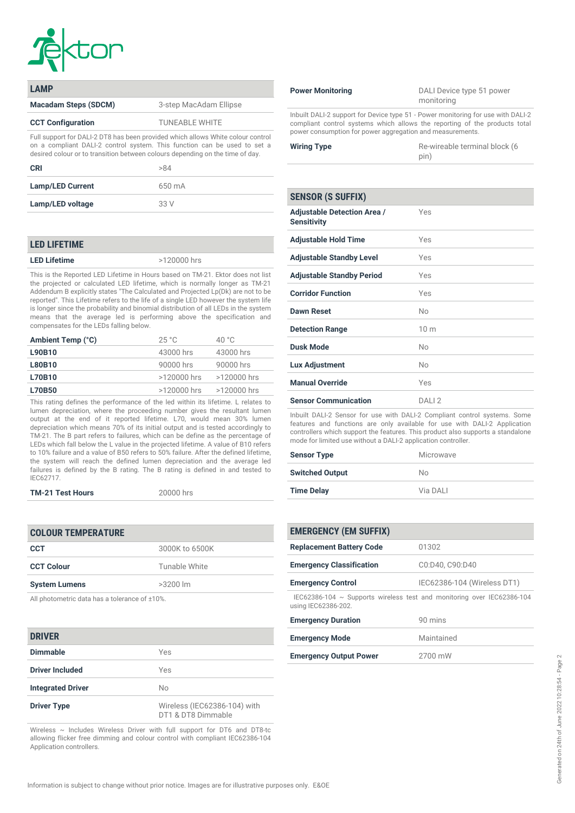

| <b>LAMP</b>                                                                                                                                                                                                                                  |                        |
|----------------------------------------------------------------------------------------------------------------------------------------------------------------------------------------------------------------------------------------------|------------------------|
| <b>Macadam Steps (SDCM)</b>                                                                                                                                                                                                                  | 3-step MacAdam Ellipse |
| <b>CCT Configuration</b>                                                                                                                                                                                                                     | <b>TUNEABLE WHITE</b>  |
| Full support for DALI-2 DT8 has been provided which allows White colour control<br>on a compliant DALI-2 control system. This function can be used to set a<br>desired colour or to transition between colours depending on the time of day. |                        |

| <b>CRI</b>              | >84    |
|-------------------------|--------|
| <b>Lamp/LED Current</b> | 650 mA |
| Lamp/LED voltage        | 33 V   |

#### *LED LIFETIME*

*LED Lifetime >120000 hrs*

*This is the Reported LED Lifetime in Hours based on TM-21. Ektor does not list the projected or calculated LED lifetime, which is normally longer as TM-21 Addendum B explicitly states "The Calculated and Projected Lp(Dk) are not to be reported". This Lifetime refers to the life of a single LED however the system life is longer since the probability and binomial distribution of all LEDs in the system means that the average led is performing above the specification and compensates for the LEDs falling below.*

| 25 °C         | 40 $^{\circ}$ C |
|---------------|-----------------|
| 43000 hrs     | 43000 hrs       |
| 90000 hrs     | 90000 hrs       |
| >120000 hrs   | >120000 hrs     |
| $>120000$ hrs | >120000 hrs     |
|               |                 |

*This rating defines the performance of the led within its lifetime. L relates to lumen depreciation, where the proceeding number gives the resultant lumen output at the end of it reported lifetime. L70, would mean 30% lumen depreciation which means 70% of its initial output and is tested accordingly to TM-21. The B part refers to failures, which can be define as the percentage of LEDs which fall below the L value in the projected lifetime. A value of B10 refers to 10% failure and a value of B50 refers to 50% failure. After the defined lifetime, the system will reach the defined lumen depreciation and the average led failures is defined by the B rating. The B rating is defined in and tested to IEC62717.*

|  | <b>TM-21 Test Hours</b> |  |
|--|-------------------------|--|
|--|-------------------------|--|

*TM-21 Test Hours 20000 hrs*

| <b>COLOUR TEMPERATURE</b> |                |
|---------------------------|----------------|
| <b>CCT</b>                | 3000K to 6500K |
| <b>CCT Colour</b>         | Tunable White  |
| <b>System Lumens</b>      | $>3200$ lm     |
|                           |                |

*All photometric data has a tolerance of ±10%.*

#### *DRIVER*

| Dimmable                 | Yes                                                |
|--------------------------|----------------------------------------------------|
| <b>Driver Included</b>   | Yes                                                |
| <b>Integrated Driver</b> | No                                                 |
| <b>Driver Type</b>       | Wireless (IEC62386-104) with<br>DT1 & DT8 Dimmable |

*Wireless ~ Includes Wireless Driver with full support for DT6 and DT8-tc allowing flicker free dimming and colour control with compliant IEC62386-104 Application controllers.*

| <b>Power Monitoring</b> |  |
|-------------------------|--|
|                         |  |

*Power Monitoring DALI Device type 51 power monitoring*

*Inbuilt DALI-2 support for Device type 51 - Power monitoring for use with DALI-2 compliant control systems which allows the reporting of the products total power consumption for power aggregation and measurements.*

| <b>Wiring Type</b> | Re-wireable terminal block (6 |
|--------------------|-------------------------------|
|                    | pin)                          |

## *SENSOR (S SUFFIX) Adjustable Detection Area / Sensitivity Yes Adjustable Hold Time Yes Adjustable Standby Level Yes Adjustable Standby Period Yes Corridor Function Yes Dawn Reset No Detection Range 10 m Dusk Mode No Lux Adjustment No Manual Override Yes Sensor Communication DALI 2 Inbuilt DALI-2 Sensor for use with DALI-2 Compliant control systems. Some*

*features and functions are only available for use with DALI-2 Application controllers which support the features. This product also supports a standalone mode for limited use without a DALI-2 application controller.*

| <b>Sensor Type</b>     | Microwave |
|------------------------|-----------|
| <b>Switched Output</b> | No.       |
| <b>Time Delay</b>      | Via DALL  |

| <b>EMERGENCY (EM SUFFIX)</b>                                                                       |                             |
|----------------------------------------------------------------------------------------------------|-----------------------------|
| <b>Replacement Battery Code</b>                                                                    | 01302                       |
| <b>Emergency Classification</b>                                                                    | C0:D40, C90:D40             |
| <b>Emergency Control</b>                                                                           | IEC62386-104 (Wireless DT1) |
| IEC62386-104 $\sim$ Supports wireless test and monitoring over IEC62386-104<br>using IEC62386-202. |                             |
| <b>Emergency Duration</b>                                                                          | 90 mins                     |
| <b>Emergency Mode</b>                                                                              | Maintained                  |

| <b>Emergency Output Power</b> | 2700 mW |
|-------------------------------|---------|
|                               |         |